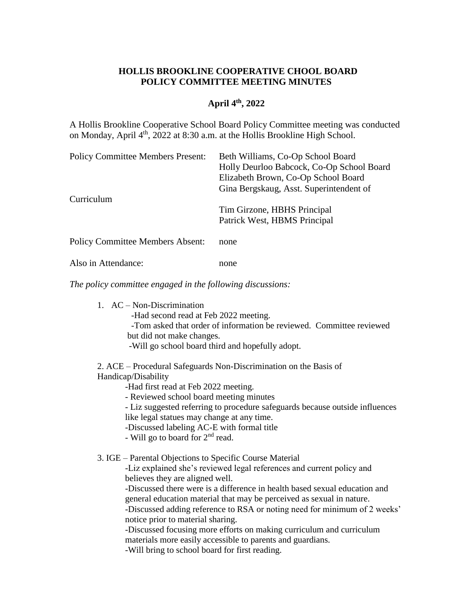## **HOLLIS BROOKLINE COOPERATIVE CHOOL BOARD POLICY COMMITTEE MEETING MINUTES**

## **April 4 th, 2022**

A Hollis Brookline Cooperative School Board Policy Committee meeting was conducted on Monday, April 4<sup>th</sup>, 2022 at 8:30 a.m. at the Hollis Brookline High School.

| Beth Williams, Co-Op School Board         |
|-------------------------------------------|
| Holly Deurloo Babcock, Co-Op School Board |
| Elizabeth Brown, Co-Op School Board       |
| Gina Bergskaug, Asst. Superintendent of   |
|                                           |
| Tim Girzone, HBHS Principal               |
| Patrick West, HBMS Principal              |
| none                                      |
|                                           |

Also in Attendance: none

*The policy committee engaged in the following discussions:*

- 1. AC Non-Discrimination
	- -Had second read at Feb 2022 meeting.
	- -Tom asked that order of information be reviewed. Committee reviewed but did not make changes.
	- -Will go school board third and hopefully adopt.

2. ACE – Procedural Safeguards Non-Discrimination on the Basis of Handicap/Disability

- -Had first read at Feb 2022 meeting.
- Reviewed school board meeting minutes
- Liz suggested referring to procedure safeguards because outside influences
- like legal statues may change at any time.
- -Discussed labeling AC-E with formal title
- Will go to board for  $2<sup>nd</sup>$  read.

3. IGE – Parental Objections to Specific Course Material

-Liz explained she's reviewed legal references and current policy and believes they are aligned well.

-Discussed there were is a difference in health based sexual education and general education material that may be perceived as sexual in nature.

-Discussed adding reference to RSA or noting need for minimum of 2 weeks' notice prior to material sharing.

-Discussed focusing more efforts on making curriculum and curriculum materials more easily accessible to parents and guardians.

-Will bring to school board for first reading.